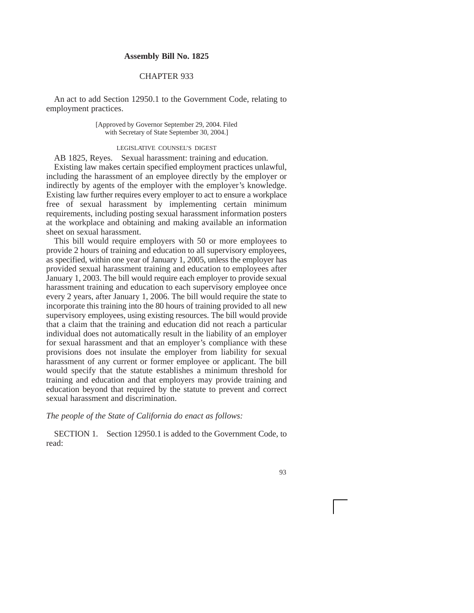## **Assembly Bill No. 1825**

## CHAPTER 933

An act to add Section 12950.1 to the Government Code, relating to employment practices.

> [Approved by Governor September 29, 2004. Filed with Secretary of State September 30, 2004.]

## LEGISLATIVE COUNSEL'S DIGEST

AB 1825, Reyes. Sexual harassment: training and education.

Existing law makes certain specified employment practices unlawful, including the harassment of an employee directly by the employer or indirectly by agents of the employer with the employer's knowledge. Existing law further requires every employer to act to ensure a workplace free of sexual harassment by implementing certain minimum requirements, including posting sexual harassment information posters at the workplace and obtaining and making available an information sheet on sexual harassment.

This bill would require employers with 50 or more employees to provide 2 hours of training and education to all supervisory employees, as specified, within one year of January 1, 2005, unless the employer has provided sexual harassment training and education to employees after January 1, 2003. The bill would require each employer to provide sexual harassment training and education to each supervisory employee once every 2 years, after January 1, 2006. The bill would require the state to incorporate this training into the 80 hours of training provided to all new supervisory employees, using existing resources. The bill would provide that a claim that the training and education did not reach a particular individual does not automatically result in the liability of an employer for sexual harassment and that an employer's compliance with these provisions does not insulate the employer from liability for sexual harassment of any current or former employee or applicant. The bill would specify that the statute establishes a minimum threshold for training and education and that employers may provide training and education beyond that required by the statute to prevent and correct sexual harassment and discrimination.

*The people of the State of California do enact as follows:*

SECTION 1. Section 12950.1 is added to the Government Code, to read:

93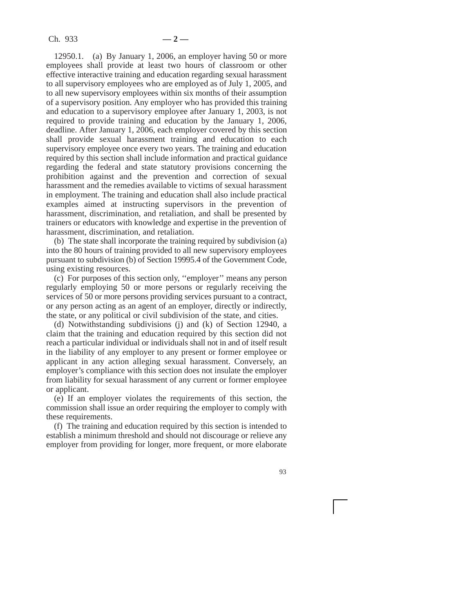12950.1. (a) By January 1, 2006, an employer having 50 or more employees shall provide at least two hours of classroom or other effective interactive training and education regarding sexual harassment to all supervisory employees who are employed as of July 1, 2005, and to all new supervisory employees within six months of their assumption of a supervisory position. Any employer who has provided this training and education to a supervisory employee after January 1, 2003, is not required to provide training and education by the January 1, 2006, deadline. After January 1, 2006, each employer covered by this section shall provide sexual harassment training and education to each supervisory employee once every two years. The training and education required by this section shall include information and practical guidance regarding the federal and state statutory provisions concerning the prohibition against and the prevention and correction of sexual harassment and the remedies available to victims of sexual harassment in employment. The training and education shall also include practical examples aimed at instructing supervisors in the prevention of harassment, discrimination, and retaliation, and shall be presented by trainers or educators with knowledge and expertise in the prevention of harassment, discrimination, and retaliation.

(b) The state shall incorporate the training required by subdivision (a) into the 80 hours of training provided to all new supervisory employees pursuant to subdivision (b) of Section 19995.4 of the Government Code, using existing resources.

(c) For purposes of this section only, ''employer'' means any person regularly employing 50 or more persons or regularly receiving the services of 50 or more persons providing services pursuant to a contract, or any person acting as an agent of an employer, directly or indirectly, the state, or any political or civil subdivision of the state, and cities.

(d) Notwithstanding subdivisions (j) and (k) of Section 12940, a claim that the training and education required by this section did not reach a particular individual or individuals shall not in and of itself result in the liability of any employer to any present or former employee or applicant in any action alleging sexual harassment. Conversely, an employer's compliance with this section does not insulate the employer from liability for sexual harassment of any current or former employee or applicant.

(e) If an employer violates the requirements of this section, the commission shall issue an order requiring the employer to comply with these requirements.

(f) The training and education required by this section is intended to establish a minimum threshold and should not discourage or relieve any employer from providing for longer, more frequent, or more elaborate